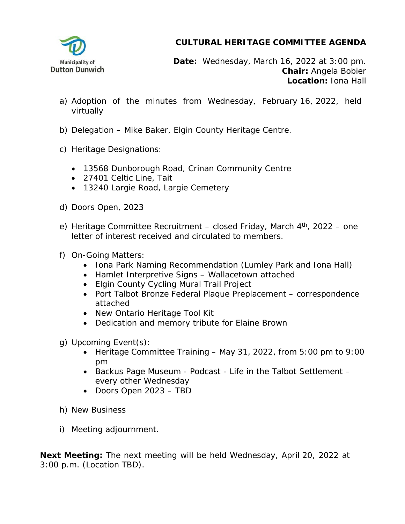

**CULTURAL HERITAGE COMMITTEE AGENDA**

**Date:** Wednesday, March 16, 2022 at 3:00 pm. **Chair:** Angela Bobier **Location:** Iona Hall

- a) Adoption of the minutes from Wednesday, February 16, 2022, held virtually
- b) Delegation Mike Baker, Elgin County Heritage Centre.
- c) Heritage Designations:
	- 13568 Dunborough Road, Crinan Community Centre
	- 27401 Celtic Line, Tait
	- 13240 Largie Road, Largie Cemetery
- d) Doors Open, 2023
- e) Heritage Committee Recruitment closed Friday, March  $4<sup>th</sup>$ , 2022 one letter of interest received and circulated to members.
- f) On-Going Matters:
	- Iona Park Naming Recommendation (Lumley Park and Iona Hall)
	- Hamlet Interpretive Signs Wallacetown attached
	- Elgin County Cycling Mural Trail Project
	- Port Talbot Bronze Federal Plaque Preplacement correspondence attached
	- New Ontario Heritage Tool Kit
	- Dedication and memory tribute for Elaine Brown
- g) Upcoming Event(s):
	- Heritage Committee Training May 31, 2022, from 5:00 pm to 9:00 pm
	- Backus Page Museum Podcast Life in the Talbot Settlement every other Wednesday
	- Doors Open 2023 TBD
- h) New Business
- i) Meeting adjournment.

**Next Meeting:** The next meeting will be held Wednesday, April 20, 2022 at 3:00 p.m. (Location TBD).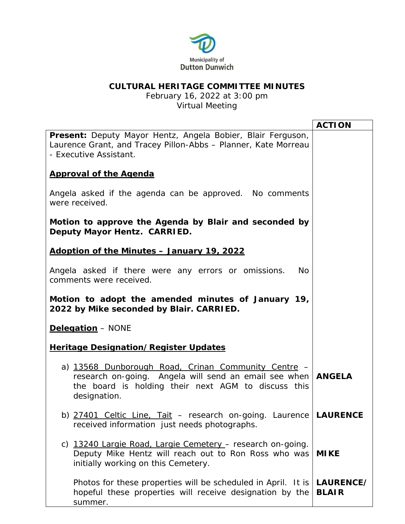

## **CULTURAL HERITAGE COMMITTEE MINUTES**

February 16, 2022 at 3:00 pm Virtual Meeting

|                                                                                                                                                                                              | <b>ACTION</b>             |
|----------------------------------------------------------------------------------------------------------------------------------------------------------------------------------------------|---------------------------|
| Present: Deputy Mayor Hentz, Angela Bobier, Blair Ferguson,<br>Laurence Grant, and Tracey Pillon-Abbs - Planner, Kate Morreau<br>- Executive Assistant.                                      |                           |
| <b>Approval of the Agenda</b>                                                                                                                                                                |                           |
| Angela asked if the agenda can be approved. No comments<br>were received.                                                                                                                    |                           |
| Motion to approve the Agenda by Blair and seconded by<br>Deputy Mayor Hentz. CARRIED.                                                                                                        |                           |
| Adoption of the Minutes - January 19, 2022                                                                                                                                                   |                           |
| Angela asked if there were any errors or omissions.<br><b>No</b><br>comments were received.                                                                                                  |                           |
| Motion to adopt the amended minutes of January 19,<br>2022 by Mike seconded by Blair. CARRIED.                                                                                               |                           |
| <b>Delegation</b> - NONE                                                                                                                                                                     |                           |
| <b>Heritage Designation/Register Updates</b>                                                                                                                                                 |                           |
| a) 13568 Dunborough Road, Crinan Community Centre -<br>research on-going. Angela will send an email see when   ANGELA<br>the board is holding their next AGM to discuss this<br>designation. |                           |
| b) 27401 Celtic Line, Tait – research on-going. Laurence LAURENCE<br>received information just needs photographs.                                                                            |                           |
| c) 13240 Largie Road, Largie Cemetery - research on-going.<br>Deputy Mike Hentz will reach out to Ron Ross who was<br>initially working on this Cemetery.                                    | <b>MIKE</b>               |
| Photos for these properties will be scheduled in April. It is<br>hopeful these properties will receive designation by the<br>summer.                                                         | LAURENCE/<br><b>BLAIR</b> |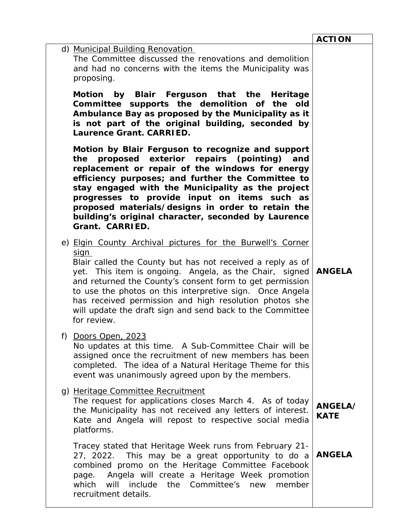|                                                                                                                                                                                                                                                                                                                                                                                                                                                                  | <b>ACTION</b>          |
|------------------------------------------------------------------------------------------------------------------------------------------------------------------------------------------------------------------------------------------------------------------------------------------------------------------------------------------------------------------------------------------------------------------------------------------------------------------|------------------------|
| d) Municipal Building Renovation<br>The Committee discussed the renovations and demolition<br>and had no concerns with the items the Municipality was<br>proposing.                                                                                                                                                                                                                                                                                              |                        |
| Motion by Blair Ferguson that the Heritage<br>Committee supports the demolition of the old<br>Ambulance Bay as proposed by the Municipality as it<br>is not part of the original building, seconded by<br><b>Laurence Grant. CARRIED.</b>                                                                                                                                                                                                                        |                        |
| Motion by Blair Ferguson to recognize and support<br>proposed exterior repairs (pointing)<br>the<br>and<br>replacement or repair of the windows for energy<br>efficiency purposes; and further the Committee to<br>stay engaged with the Municipality as the project<br>progresses to provide input on items such as<br>proposed materials/designs in order to retain the<br>building's original character, seconded by Laurence<br>Grant. CARRIED.              |                        |
| e) Elgin County Archival pictures for the Burwell's Corner<br><u>sign</u><br>Blair called the County but has not received a reply as of<br>yet. This item is ongoing. Angela, as the Chair, signed<br>and returned the County's consent form to get permission<br>to use the photos on this interpretive sign. Once Angela<br>has received permission and high resolution photos she<br>will update the draft sign and send back to the Committee<br>for review. | <b>ANGELA</b>          |
| Doors Open, 2023<br>f)<br>No updates at this time. A Sub-Committee Chair will be<br>assigned once the recruitment of new members has been<br>completed. The idea of a Natural Heritage Theme for this<br>event was unanimously agreed upon by the members.                                                                                                                                                                                                       |                        |
| g) Heritage Committee Recruitment<br>The request for applications closes March 4. As of today<br>the Municipality has not received any letters of interest.<br>Kate and Angela will repost to respective social media<br>platforms.                                                                                                                                                                                                                              | ANGELA/<br><b>KATE</b> |
| Tracey stated that Heritage Week runs from February 21-<br>This may be a great opportunity to do a<br>27, 2022.<br>combined promo on the Heritage Committee Facebook<br>Angela will create a Heritage Week promotion<br>page.<br>include<br>Committee's<br>will<br>the<br>member<br>which<br>new<br>recruitment details.                                                                                                                                         | <b>ANGELA</b>          |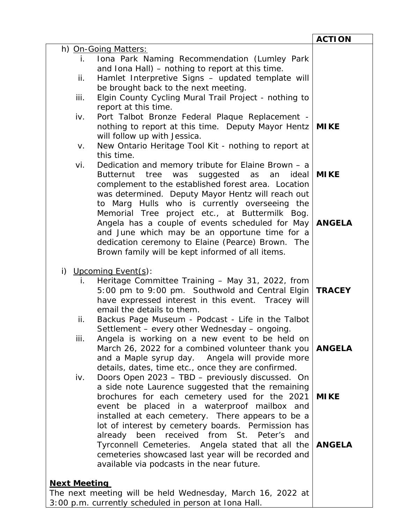|                                                                                                                | <b>ACTION</b> |
|----------------------------------------------------------------------------------------------------------------|---------------|
| h) On-Going Matters:                                                                                           |               |
| Iona Park Naming Recommendation (Lumley Park<br>İ.                                                             |               |
| and Iona Hall) – nothing to report at this time.                                                               |               |
| Hamlet Interpretive Signs - updated template will<br>ii.                                                       |               |
| be brought back to the next meeting.                                                                           |               |
| Elgin County Cycling Mural Trail Project - nothing to<br>iii.                                                  |               |
| report at this time.<br>Port Talbot Bronze Federal Plaque Replacement -<br>iv.                                 |               |
| nothing to report at this time. Deputy Mayor Hentz                                                             | <b>MIKE</b>   |
| will follow up with Jessica.                                                                                   |               |
| New Ontario Heritage Tool Kit - nothing to report at<br>V.                                                     |               |
| this time.                                                                                                     |               |
| Dedication and memory tribute for Elaine Brown - a<br>vi.                                                      |               |
| Butternut tree was suggested as an<br>ideal                                                                    | <b>MIKE</b>   |
| complement to the established forest area. Location                                                            |               |
| was determined. Deputy Mayor Hentz will reach out                                                              |               |
| to Marg Hulls who is currently overseeing the                                                                  |               |
| Memorial Tree project etc., at Buttermilk Bog.                                                                 |               |
| Angela has a couple of events scheduled for May                                                                | <b>ANGELA</b> |
| and June which may be an opportune time for a                                                                  |               |
| dedication ceremony to Elaine (Pearce) Brown. The                                                              |               |
| Brown family will be kept informed of all items.                                                               |               |
| i) Upcoming Event(s):                                                                                          |               |
| Heritage Committee Training - May 31, 2022, from<br>i.                                                         |               |
| 5:00 pm to 9:00 pm. Southwold and Central Elgin                                                                | <b>TRACEY</b> |
| have expressed interest in this event. Tracey will                                                             |               |
| email the details to them.                                                                                     |               |
| Backus Page Museum - Podcast - Life in the Talbot<br>ii.                                                       |               |
| Settlement - every other Wednesday - ongoing.                                                                  |               |
| Angela is working on a new event to be held on<br>iii.                                                         |               |
| March 26, 2022 for a combined volunteer thank you                                                              | <b>ANGELA</b> |
| and a Maple syrup day. Angela will provide more                                                                |               |
| details, dates, time etc., once they are confirmed.<br>Doors Open 2023 - TBD - previously discussed. On<br>iv. |               |
| a side note Laurence suggested that the remaining                                                              |               |
| brochures for each cemetery used for the 2021                                                                  | <b>MIKE</b>   |
| event be placed in a waterproof mailbox and                                                                    |               |
| installed at each cemetery. There appears to be a                                                              |               |
| lot of interest by cemetery boards. Permission has                                                             |               |
| already been received from St. Peter's<br>and                                                                  |               |
| Tyrconnell Cemeteries. Angela stated that all the                                                              | <b>ANGELA</b> |
| cemeteries showcased last year will be recorded and                                                            |               |
| available via podcasts in the near future.                                                                     |               |
|                                                                                                                |               |
| <b>Next Meeting</b>                                                                                            |               |
| The next meeting will be held Wednesday, March 16, 2022 at                                                     |               |
| 3:00 p.m. currently scheduled in person at Iona Hall.                                                          |               |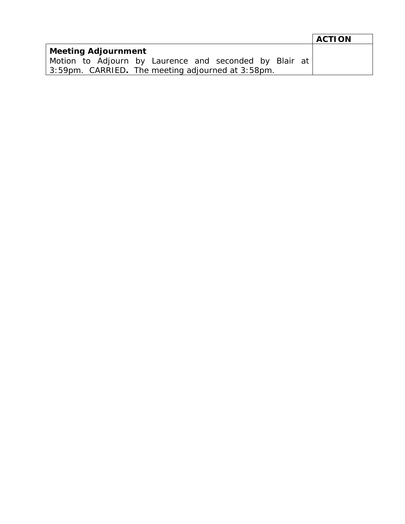|                                                        | <b>ACTION</b> |
|--------------------------------------------------------|---------------|
| Meeting Adjournment                                    |               |
| Motion to Adjourn by Laurence and seconded by Blair at |               |
| 3:59pm. CARRIED. The meeting adjourned at 3:58pm.      |               |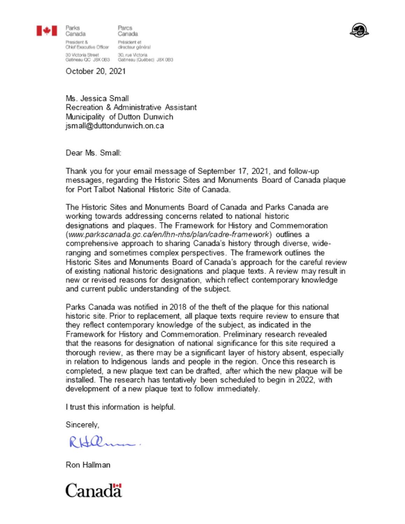

Parks

Parcs rans<br>Canada Canada President & Président et<br>Chief Executive Officer directeur général 30 Victoria Street 30, rue Victoria<br>Gatineau QC JBX 0B3 Gatineau (Québec) JBX 0B3



October 20, 2021

Ms. Jessica Small Recreation & Administrative Assistant Municipality of Dutton Dunwich jsmall@duttondunwich.on.ca

Dear Ms. Small:

Thank you for your email message of September 17, 2021, and follow-up messages, regarding the Historic Sites and Monuments Board of Canada plaque for Port Talbot National Historic Site of Canada.

The Historic Sites and Monuments Board of Canada and Parks Canada are working towards addressing concerns related to national historic designations and plaques. The Framework for History and Commemoration (www.parkscanada.gc.ca/en/lhn-nhs/plan/cadre-framework) outlines a comprehensive approach to sharing Canada's history through diverse, wideranging and sometimes complex perspectives. The framework outlines the Historic Sites and Monuments Board of Canada's approach for the careful review of existing national historic designations and plaque texts. A review may result in new or revised reasons for designation, which reflect contemporary knowledge and current public understanding of the subject.

Parks Canada was notified in 2018 of the theft of the plague for this national historic site. Prior to replacement, all plaque texts require review to ensure that they reflect contemporary knowledge of the subject, as indicated in the Framework for History and Commemoration. Preliminary research revealed that the reasons for designation of national significance for this site required a thorough review, as there may be a significant layer of history absent, especially in relation to Indigenous lands and people in the region. Once this research is completed, a new plaque text can be drafted, after which the new plaque will be installed. The research has tentatively been scheduled to begin in 2022, with development of a new plaque text to follow immediately.

I trust this information is helpful.

Sincerely,

Ron Hallman